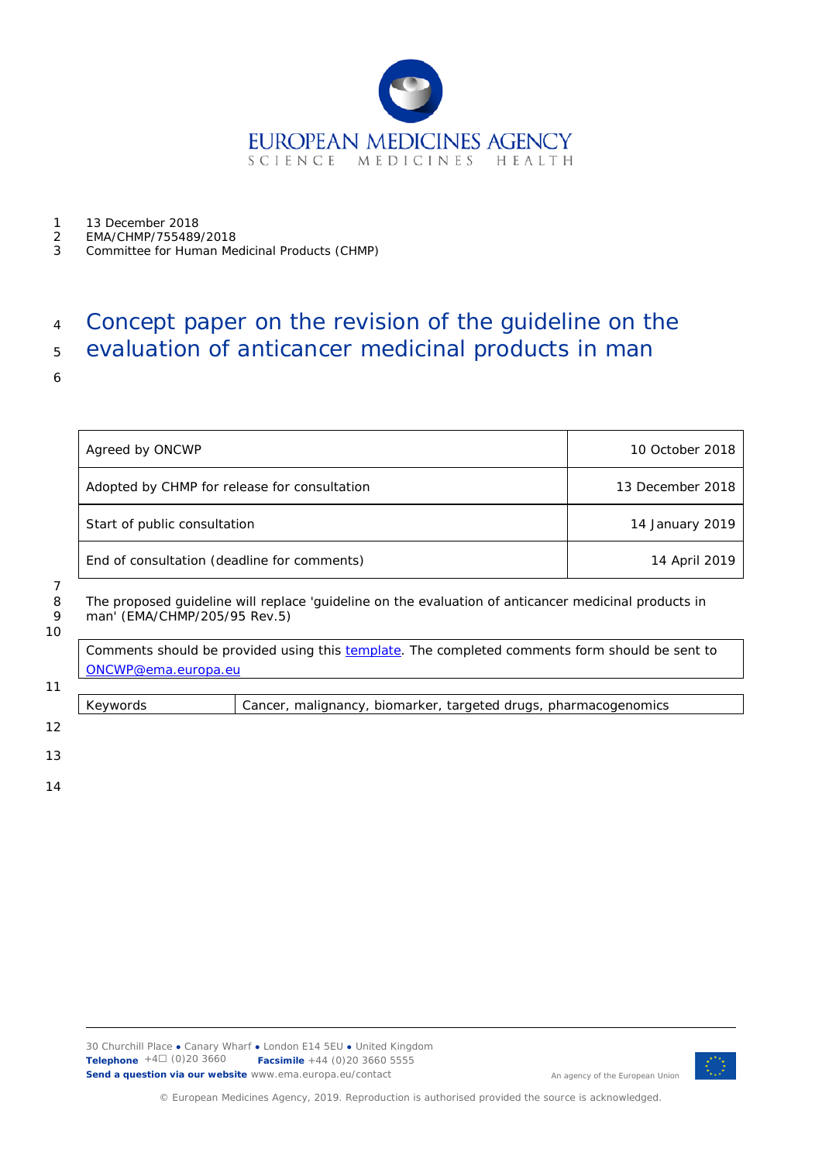

- 1 13 December 2018<br>2 EMA/CHMP/755489
- 2 EMA/CHMP/755489/2018
- 3 Committee for Human Medicinal Products (CHMP)

# <sup>4</sup> Concept paper on the revision of the guideline on the

## <sup>5</sup> evaluation of anticancer medicinal products in man

6

| Agreed by ONCWP                              | 10 October 2018  |
|----------------------------------------------|------------------|
| Adopted by CHMP for release for consultation | 13 December 2018 |
| Start of public consultation                 | 14 January 2019  |
| End of consultation (deadline for comments)  | 14 April 2019    |

#### 7

8 The proposed guideline will replace 'guideline on the evaluation of anticancer medicinal products in<br>9 man' (EMA/CHMP/205/95 Rev.5) man' (EMA/CHMP/205/95 Rev.5)

10

Comments should be provided using this [template.](http://www.ema.europa.eu/docs/en_GB/document_library/Template_or_form/2009/10/WC500004016.doc) The completed comments form should be sent to [ONCWP@ema.europa.eu](mailto:ONCWP@ema.europa.eu)

Keywords *Cancer, malignancy, biomarker, targeted drugs, pharmacogenomics*

12

11

13

14



An agency of the European Union

© European Medicines Agency, 2019. Reproduction is authorised provided the source is acknowledged.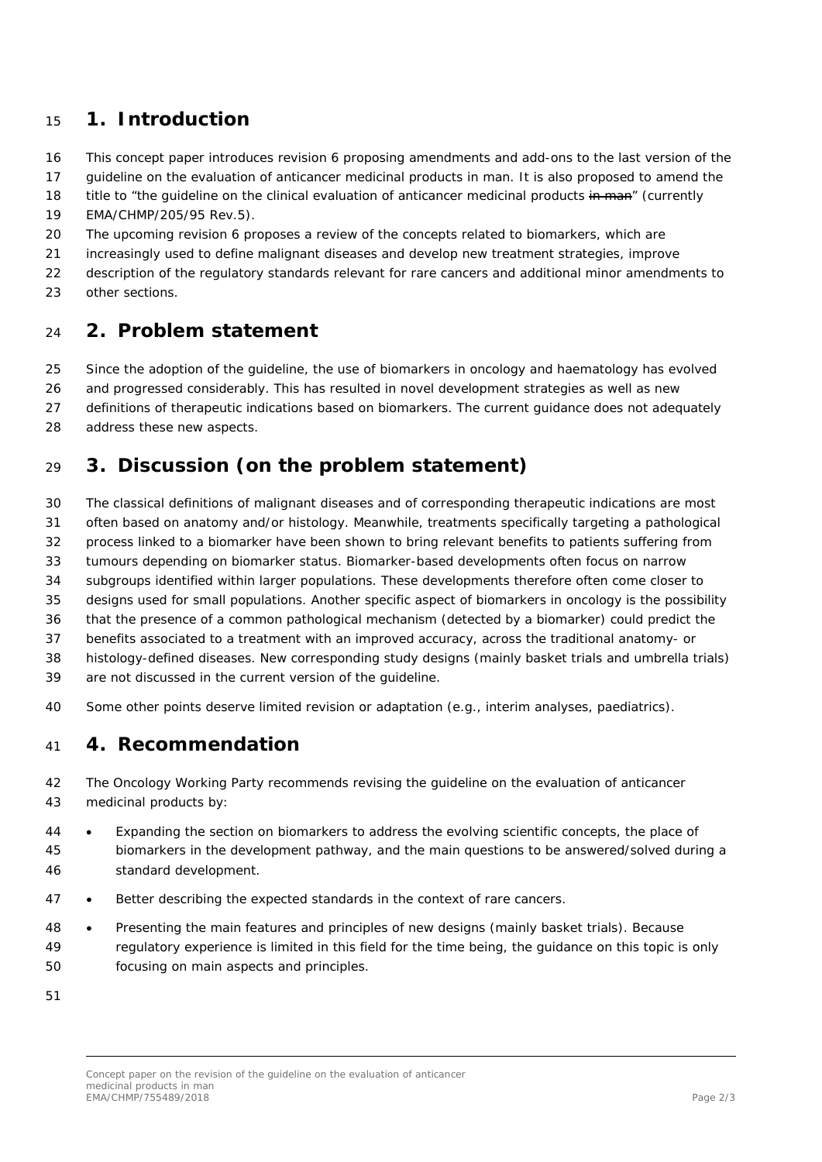#### **1. Introduction**

This concept paper introduces revision 6 proposing amendments and add-ons to the last version of the

guideline on the evaluation of anticancer medicinal products in man. It is also proposed to amend the

18 title to "the quideline on the clinical evaluation of anticancer medicinal products in man" (currently

EMA/CHMP/205/95 Rev.5).

The upcoming revision 6 proposes a review of the concepts related to biomarkers, which are

increasingly used to define malignant diseases and develop new treatment strategies, improve

 description of the regulatory standards relevant for rare cancers and additional minor amendments to other sections.

#### **2. Problem statement**

Since the adoption of the guideline, the use of biomarkers in oncology and haematology has evolved

and progressed considerably. This has resulted in novel development strategies as well as new

definitions of therapeutic indications based on biomarkers. The current guidance does not adequately

address these new aspects.

### **3. Discussion (on the problem statement)**

The classical definitions of malignant diseases and of corresponding therapeutic indications are most

often based on anatomy and/or histology. Meanwhile, treatments specifically targeting a pathological

- process linked to a biomarker have been shown to bring relevant benefits to patients suffering from
- tumours depending on biomarker status. Biomarker-based developments often focus on narrow

subgroups identified within larger populations. These developments therefore often come closer to

designs used for small populations. Another specific aspect of biomarkers in oncology is the possibility

that the presence of a common pathological mechanism (detected by a biomarker) could predict the

benefits associated to a treatment with an improved accuracy, across the traditional anatomy- or

histology-defined diseases. New corresponding study designs (mainly basket trials and umbrella trials)

are not discussed in the current version of the guideline.

Some other points deserve limited revision or adaptation (e.g., interim analyses, paediatrics).

#### **4. Recommendation**

 The Oncology Working Party recommends revising the guideline on the evaluation of anticancer medicinal products by:

 • Expanding the section on biomarkers to address the evolving scientific concepts, the place of biomarkers in the development pathway, and the main questions to be answered/solved during a standard development.

- Better describing the expected standards in the context of rare cancers.
- Presenting the main features and principles of new designs (mainly basket trials). Because regulatory experience is limited in this field for the time being, the guidance on this topic is only focusing on main aspects and principles.